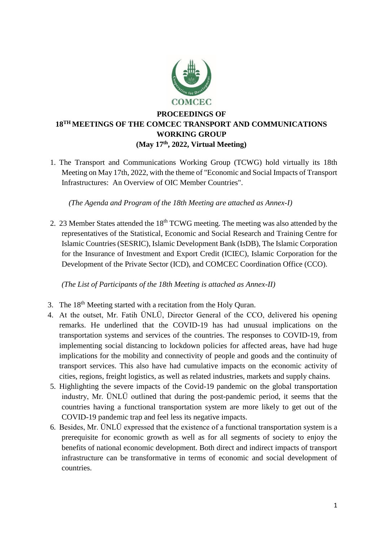

# **PROCEEDINGS OF 18 TH MEETINGS OF THE COMCEC TRANSPORT AND COMMUNICATIONS WORKING GROUP (May 17 th, 2022, Virtual Meeting)**

1. The Transport and Communications Working Group (TCWG) hold virtually its 18th Meeting on May 17th, 2022, with the theme of "Economic and Social Impacts of Transport Infrastructures: An Overview of OIC Member Countries".

*(The Agenda and Program of the 18th Meeting are attached as Annex-I)*

2. 23 Member States attended the 18<sup>th</sup> TCWG meeting. The meeting was also attended by the representatives of the Statistical, Economic and Social Research and Training Centre for Islamic Countries (SESRIC), Islamic Development Bank (IsDB), The Islamic Corporation for the Insurance of Investment and Export Credit (ICIEC), Islamic Corporation for the Development of the Private Sector (ICD), and COMCEC Coordination Office (CCO).

*(The List of Participants of the 18th Meeting is attached as Annex-II)*

- 3. The 18<sup>th</sup> Meeting started with a recitation from the Holy Quran.
- 4. At the outset, Mr. Fatih ÜNLÜ, Director General of the CCO, delivered his opening remarks. He underlined that the COVID-19 has had unusual implications on the transportation systems and services of the countries. The responses to COVID-19, from implementing social distancing to lockdown policies for affected areas, have had huge implications for the mobility and connectivity of people and goods and the continuity of transport services. This also have had cumulative impacts on the economic activity of cities, regions, freight logistics, as well as related industries, markets and supply chains.
- 5. Highlighting the severe impacts of the Covid-19 pandemic on the global transportation industry, Mr. ÜNLÜ outlined that during the post-pandemic period, it seems that the countries having a functional transportation system are more likely to get out of the COVID-19 pandemic trap and feel less its negative impacts.
- 6. Besides, Mr. ÜNLÜ expressed that the existence of a functional transportation system is a prerequisite for economic growth as well as for all segments of society to enjoy the benefits of national economic development. Both direct and indirect impacts of transport infrastructure can be transformative in terms of economic and social development of countries.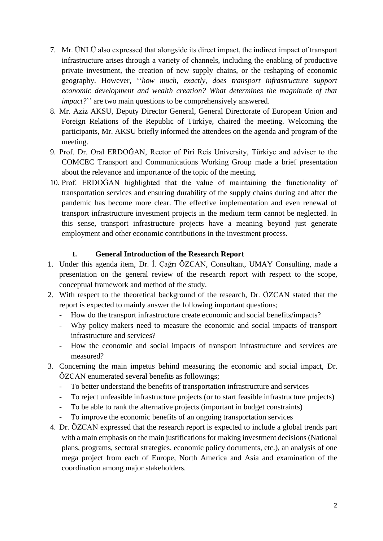- 7. Mr. ÜNLÜ also expressed that alongside its direct impact, the indirect impact of transport infrastructure arises through a variety of channels, including the enabling of productive private investment, the creation of new supply chains, or the reshaping of economic geography. However, ''*how much, exactly, does transport infrastructure support economic development and wealth creation? What determines the magnitude of that impact?*" are two main questions to be comprehensively answered.
- 8. Mr. Aziz AKSU, Deputy Director General, General Directorate of European Union and Foreign Relations of the Republic of Türkiye, chaired the meeting. Welcoming the participants, Mr. AKSU briefly informed the attendees on the agenda and program of the meeting.
- 9. Prof. Dr. Oral ERDOĞAN, Rector of Pîrî Reis University, Türkiye and adviser to the COMCEC Transport and Communications Working Group made a brief presentation about the relevance and importance of the topic of the meeting.
- 10. Prof. ERDOĞAN highlighted that the value of maintaining the functionality of transportation services and ensuring durability of the supply chains during and after the pandemic has become more clear. The effective implementation and even renewal of transport infrastructure investment projects in the medium term cannot be neglected. In this sense, transport infrastructure projects have a meaning beyond just generate employment and other economic contributions in the investment process.

### **I. General Introduction of the Research Report**

- 1. Under this agenda item, Dr. İ. Çağrı ÖZCAN, Consultant, UMAY Consulting, made a presentation on the general review of the research report with respect to the scope, conceptual framework and method of the study.
- 2. With respect to the theoretical background of the research, Dr. ÖZCAN stated that the report is expected to mainly answer the following important questions;
	- How do the transport infrastructure create economic and social benefits/impacts?
	- Why policy makers need to measure the economic and social impacts of transport infrastructure and services?
	- How the economic and social impacts of transport infrastructure and services are measured?
- 3. Concerning the main impetus behind measuring the economic and social impact, Dr. ÖZCAN enumerated several benefits as followings;
	- To better understand the benefits of transportation infrastructure and services
	- To reject unfeasible infrastructure projects (or to start feasible infrastructure projects)
	- To be able to rank the alternative projects (important in budget constraints)
	- To improve the economic benefits of an ongoing transportation services
- 4. Dr. ÖZCAN expressed that the research report is expected to include a global trends part with a main emphasis on the main justifications for making investment decisions (National plans, programs, sectoral strategies, economic policy documents, etc.), an analysis of one mega project from each of Europe, North America and Asia and examination of the coordination among major stakeholders.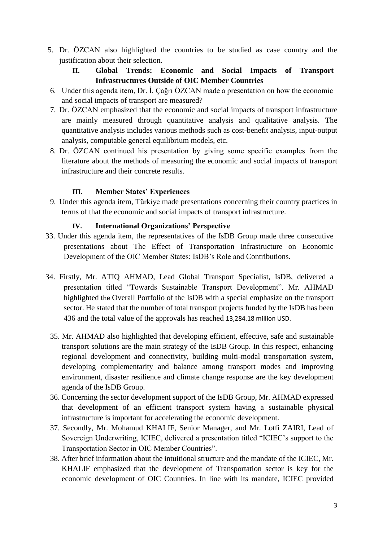5. Dr. ÖZCAN also highlighted the countries to be studied as case country and the justification about their selection.

## **II. Global Trends: Economic and Social Impacts of Transport Infrastructures Outside of OIC Member Countries**

- 6. Under this agenda item, Dr. İ. Çağrı ÖZCAN made a presentation on how the economic and social impacts of transport are measured?
- 7. Dr. ÖZCAN emphasized that the economic and social impacts of transport infrastructure are mainly measured through quantitative analysis and qualitative analysis. The quantitative analysis includes various methods such as cost-benefit analysis, input-output analysis, computable general equilibrium models, etc.
- 8. Dr. ÖZCAN continued his presentation by giving some specific examples from the literature about the methods of measuring the economic and social impacts of transport infrastructure and their concrete results.

### **III. Member States' Experiences**

9. Under this agenda item, Türkiye made presentations concerning their country practices in terms of that the economic and social impacts of transport infrastructure.

### **IV. International Organizations' Perspective**

- 33. Under this agenda item, the representatives of the IsDB Group made three consecutive presentations about The Effect of Transportation Infrastructure on Economic Development of the OIC Member States: IsDB's Role and Contributions.
- 34. Firstly, Mr. ATIQ AHMAD, Lead Global Transport Specialist, IsDB, delivered a presentation titled "Towards Sustainable Transport Development". Mr. AHMAD highlighted the Overall Portfolio of the IsDB with a special emphasize on the transport sector. He stated that the number of total transport projects funded by the IsDB has been 436 and the total value of the approvals has reached 13,284.18 million USD.
	- 35. Mr. AHMAD also highlighted that developing efficient, effective, safe and sustainable transport solutions are the main strategy of the IsDB Group. In this respect, enhancing regional development and connectivity, building multi-modal transportation system, developing complementarity and balance among transport modes and improving environment, disaster resilience and climate change response are the key development agenda of the IsDB Group.
	- 36. Concerning the sector development support of the IsDB Group, Mr. AHMAD expressed that development of an efficient transport system having a sustainable physical infrastructure is important for accelerating the economic development.
	- 37. Secondly, Mr. Mohamud KHALIF, Senior Manager, and Mr. Lotfi ZAIRI, Lead of Sovereign Underwriting, ICIEC, delivered a presentation titled "ICIEC's support to the Transportation Sector in OIC Member Countries".
	- 38. After brief information about the intuitional structure and the mandate of the ICIEC, Mr. KHALIF emphasized that the development of Transportation sector is key for the economic development of OIC Countries. In line with its mandate, ICIEC provided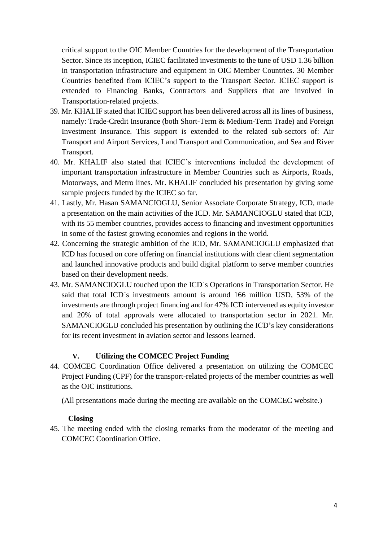critical support to the OIC Member Countries for the development of the Transportation Sector. Since its inception, ICIEC facilitated investments to the tune of USD 1.36 billion in transportation infrastructure and equipment in OIC Member Countries. 30 Member Countries benefited from ICIEC's support to the Transport Sector. ICIEC support is extended to Financing Banks, Contractors and Suppliers that are involved in Transportation-related projects.

- 39. Mr. KHALIF stated that ICIEC support has been delivered across all its lines of business, namely: Trade-Credit Insurance (both Short-Term & Medium-Term Trade) and Foreign Investment Insurance. This support is extended to the related sub-sectors of: Air Transport and Airport Services, Land Transport and Communication, and Sea and River Transport.
- 40. Mr. KHALIF also stated that ICIEC's interventions included the development of important transportation infrastructure in Member Countries such as Airports, Roads, Motorways, and Metro lines. Mr. KHALIF concluded his presentation by giving some sample projects funded by the ICIEC so far.
- 41. Lastly, Mr. Hasan SAMANCIOGLU, Senior Associate Corporate Strategy, ICD, made a presentation on the main activities of the ICD. Mr. SAMANCIOGLU stated that ICD, with its 55 member countries, provides access to financing and investment opportunities in some of the fastest growing economies and regions in the world.
- 42. Concerning the strategic ambition of the ICD, Mr. SAMANCIOGLU emphasized that ICD has focused on core offering on financial institutions with clear client segmentation and launched innovative products and build digital platform to serve member countries based on their development needs.
- 43. Mr. SAMANCIOGLU touched upon the ICD`s Operations in Transportation Sector. He said that total ICD`s investments amount is around 166 million USD, 53% of the investments are through project financing and for 47% ICD intervened as equity investor and 20% of total approvals were allocated to transportation sector in 2021. Mr. SAMANCIOGLU concluded his presentation by outlining the ICD's key considerations for its recent investment in aviation sector and lessons learned.

### **V. Utilizing the COMCEC Project Funding**

44. COMCEC Coordination Office delivered a presentation on utilizing the COMCEC Project Funding (CPF) for the transport-related projects of the member countries as well as the OIC institutions.

(All presentations made during the meeting are available on the COMCEC website.)

### **Closing**

45. The meeting ended with the closing remarks from the moderator of the meeting and COMCEC Coordination Office.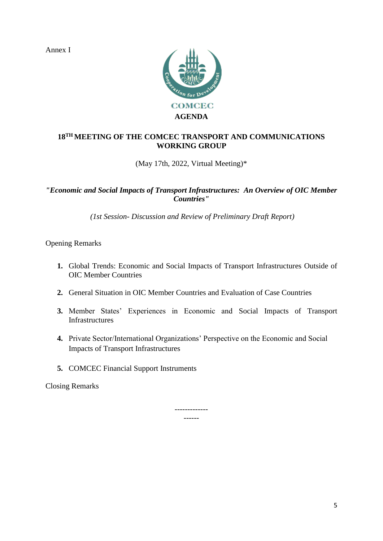Annex I



# **18TH MEETING OF THE COMCEC TRANSPORT AND COMMUNICATIONS WORKING GROUP**

(May 17th, 2022, Virtual Meeting)\*

### *"Economic and Social Impacts of Transport Infrastructures: An Overview of OIC Member Countries"*

*(1st Session- Discussion and Review of Preliminary Draft Report)*

Opening Remarks

- **1.** Global Trends: Economic and Social Impacts of Transport Infrastructures Outside of OIC Member Countries
- **2.** General Situation in OIC Member Countries and Evaluation of Case Countries
- **3.** Member States' Experiences in Economic and Social Impacts of Transport Infrastructures
- **4.** Private Sector/International Organizations' Perspective on the Economic and Social Impacts of Transport Infrastructures
- **5.** COMCEC Financial Support Instruments

Closing Remarks

------------- ------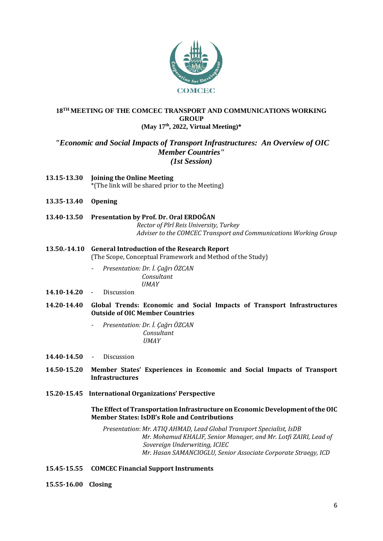

#### **18TH MEETING OF THE COMCEC TRANSPORT AND COMMUNICATIONS WORKING GROUP (May 17th, 2022, Virtual Meeting)\***

#### *"Economic and Social Impacts of Transport Infrastructures: An Overview of OIC Member Countries" (1st Session)*

- **13.15-13.30 Joining the Online Meeting**  \*(The link will be shared prior to the Meeting)
- **13.35-13.40 Opening**
- **13.40-13.50 Presentation by Prof. Dr. Oral ERDOĞAN** *Rector of Pîrî Reis University, Turkey Adviser to the COMCEC Transport and Communications Working Group*
- **13.50.-14.10 General Introduction of the Research Report** (The Scope, Conceptual Framework and Method of the Study)
	- *Presentation: Dr. İ. Çağrı ÖZCAN Consultant UMAY*
- **14.10-14.20** Discussion
- **14.20-14.40 Global Trends: Economic and Social Impacts of Transport Infrastructures Outside of OIC Member Countries** 
	- *Presentation: Dr. İ. Çağrı ÖZCAN Consultant UMAY*
- **14.40-14.50** Discussion
- **14.50-15.20 Member States' Experiences in Economic and Social Impacts of Transport Infrastructures**
- **15.20-15.45 International Organizations' Perspective**

#### **The Effect of Transportation Infrastructure on Economic Development of the OIC Member States: IsDB's Role and Contributions**

*Presentation*: *Mr. ATIQ AHMAD, Lead Global Transport Specialist, IsDB Mr. Mohamud KHALIF, Senior Manager, and Mr. Lotfi ZAIRI, Lead of Sovereign Underwriting, ICIEC Mr. Hasan SAMANCIOGLU, Senior Associate Corporate Straegy, ICD*

**15.45-15.55 COMCEC Financial Support Instruments**

**15.55-16.00 Closing**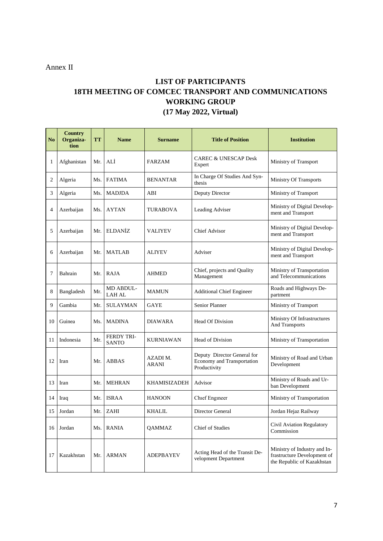Annex II

# **LIST OF PARTICIPANTS 18TH MEETING OF COMCEC TRANSPORT AND COMMUNICATIONS WORKING GROUP (17 May 2022, Virtual)**

| N <sub>0</sub> | <b>Country</b><br>Organiza-<br>tion | <b>TT</b> | <b>Name</b>                       | <b>Surname</b>    | <b>Title of Position</b>                                                  | <b>Institution</b>                                                                        |
|----------------|-------------------------------------|-----------|-----------------------------------|-------------------|---------------------------------------------------------------------------|-------------------------------------------------------------------------------------------|
| 1              | Afghanistan                         | Mr.       | ALÍ                               | <b>FARZAM</b>     | <b>CAREC &amp; UNESCAP Desk</b><br>Expert                                 | Ministry of Transport                                                                     |
| 2              | Algeria                             | Ms.       | <b>FATIMA</b>                     | BENANTAR          | In Charge Of Studies And Syn-<br>thesis                                   | <b>Ministry Of Transports</b>                                                             |
| 3              | Algeria                             | Ms.       | <b>MADJDA</b>                     | ABI               | Deputy Director                                                           | Ministry of Transport                                                                     |
| 4              | Azerbaijan                          | Ms.       | AYTAN                             | TURABOVA          | Leading Adviser                                                           | Ministry of Digital Develop-<br>ment and Transport                                        |
| 5              | Azerbaijan                          | Mr.       | <b>ELDANIZ</b>                    | VALIYEV           | Chief Advisor                                                             | Ministry of Digital Develop-<br>ment and Transport                                        |
| 6              | Azerbaijan                          | Mr.       | <b>MATLAB</b>                     | ALIYEV            | Adviser                                                                   | Ministry of Digital Develop-<br>ment and Transport                                        |
| 7              | Bahrain                             | Mr.       | <b>RAJA</b>                       | AHMED             | Chief, projects and Quality<br>Management                                 | Ministry of Transportation<br>and Telecommunications                                      |
| 8              | Bangladesh                          | Mr.       | <b>MD ABDUL-</b><br><b>LAH AL</b> | <b>MAMUN</b>      | <b>Additional Chief Engineer</b>                                          | Roads and Highways De-<br>partment                                                        |
| 9              | Gambia                              | Mr.       | <b>SULAYMAN</b>                   | <b>GAYE</b>       | Senior Planner                                                            | Ministry of Transport                                                                     |
| 10             | Guinea                              | Ms.       | MADINA                            | DIAWARA           | <b>Head Of Division</b>                                                   | Ministry Of Infrastructures<br>And Transports                                             |
| 11             | Indonesia                           | Mr.       | <b>FERDY TRI-</b><br><b>SANTO</b> | KURNIAWAN         | Head of Division                                                          | Ministry of Transportation                                                                |
| 12             | Iran                                | Mr.       | <b>ABBAS</b>                      | AZADI M.<br>ARANI | Deputy Director General for<br>Economy and Transportation<br>Productivity | Ministry of Road and Urban<br>Development                                                 |
| 13             | Iran                                | Mr.       | <b>MEHRAN</b>                     | KHAMISIZADEH      | Advisor                                                                   | Ministry of Roads and Ur-<br>ban Development                                              |
| 14             | Iraq                                | Mr.       | <b>ISRAA</b>                      | <b>HANOON</b>     | Chief Engineer                                                            | Ministry of Transportation                                                                |
| 15             | Jordan                              | Mr.       | ZAHI                              | KHALIL            | Director General                                                          | Jordan Hejaz Railway                                                                      |
| 16             | Jordan                              | Ms.       | <b>RANIA</b>                      | <b>OAMMAZ</b>     | <b>Chief of Studies</b>                                                   | Civil Aviation Regulatory<br>Commission                                                   |
| 17             | Kazakhstan                          | Mr.       | <b>ARMAN</b>                      | ADEPBAYEV         | Acting Head of the Transit De-<br>velopment Department                    | Ministry of Industry and In-<br>frastructure Development of<br>the Republic of Kazakhstan |